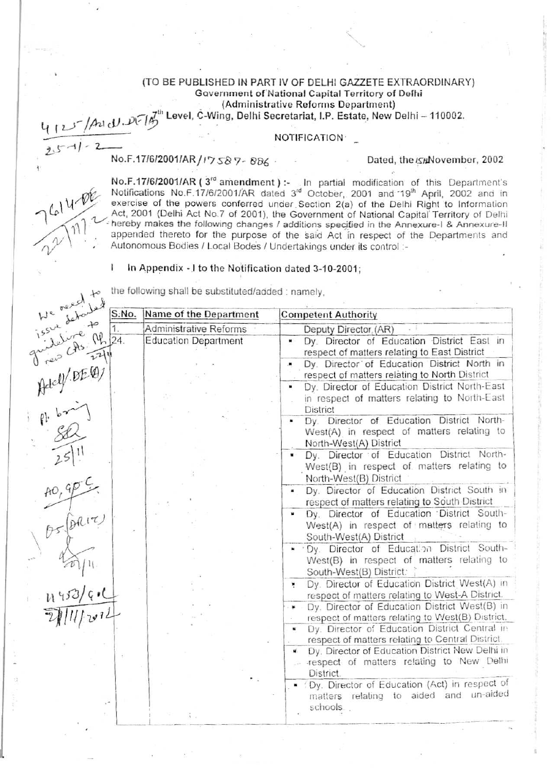### (TO BE PUBLISHED IN PART IV OF DELHI GAZZETE EXTRAORDINARY) Government of National Capital Territory of Delhi (Administrative Reforms Department)

# evel, C-Wing, Delhi Secretariat, I.P. Estate, New Delhi - 110002.

## **NOTIFICATION**

No.F.17/6/2001/AR/I7587-886.

## Dated, the ISHNovember, 2002

Ĭ

No.F.17/6/2001/AR ( $3^{rd}$  amendment) :- In partial modification of this Department's<br>Notifications No.F.17/6/2001/AR dated  $3^{rd}$  October, 2001 and 19<sup>th</sup> April, 2002 and in<br>exercise of the powers conferred under Section appended thereto for the purpose of the said Act in respect of the Departments and Autonomous Bodies / Local Bodes / Undertakings under its control :-

#### In Appendix - I to the Notification dated 3-10-2001;

| We read to                                                                    | S:No. | Name of the Department      | <b>Competent Authority</b>                                                                                                         |
|-------------------------------------------------------------------------------|-------|-----------------------------|------------------------------------------------------------------------------------------------------------------------------------|
|                                                                               |       | Administrative Reforms      | Deputy Director (AR)                                                                                                               |
| We rever led<br>issue schooled 5.<br>issue livre M 34.<br>Juille Chs. 11. 24. |       | <b>Education Department</b> | Dy. Director of Education District East in<br>×<br>respect of matters relating to East District                                    |
|                                                                               |       |                             | Dy. Director of Education District North in<br>۰<br>respect of matters relating to North District                                  |
| Addy DEQ)                                                                     |       |                             | Dy. Director of Education District North-East<br>٠<br>in respect of matters relating to North-East<br><b>District</b>              |
| $\frac{d}{dt}$                                                                |       |                             | Dy. Director of Education District North-<br>$\blacksquare$<br>West(A) in respect of matters relating to<br>North-West(A) District |
| $2511$<br>AO, GPC                                                             |       |                             | Dy. Director of Education District North-<br>West(B) in respect of matters relating to<br>North-West(B) District                   |
|                                                                               |       |                             | Dy. Director of Education District South in<br>٠<br>respect of matters relating to South District                                  |
|                                                                               |       |                             | Dy. Director of Education District South-<br>West(A) in respect of matters relating to<br>South-West(A) District                   |
| $\frac{4}{2}\sqrt{11}$                                                        |       |                             | . Dy. Director of Education District South-<br>West(B) in respect of matters relating to<br>South-West(B) District:                |
|                                                                               |       |                             | Dy. Director of Education District West(A) in<br>×<br>respect of matters relating to West-A District.                              |
|                                                                               |       |                             | Dy. Director of Education District West(B) in<br>respect of matters relating to West(B) District.                                  |
|                                                                               |       |                             | Dy. Director of Education District Central in<br>$\blacksquare$<br>respect of matters relating to Central District.                |
|                                                                               |       |                             | Dy. Director of Education District New Delhi in<br>u.<br>respect of matters relating to New Delhi<br>28<br>District.               |
|                                                                               |       |                             | . (Dy. Director of Education (Act) in respect of<br>matters relating to aided and un-aided<br>schools.                             |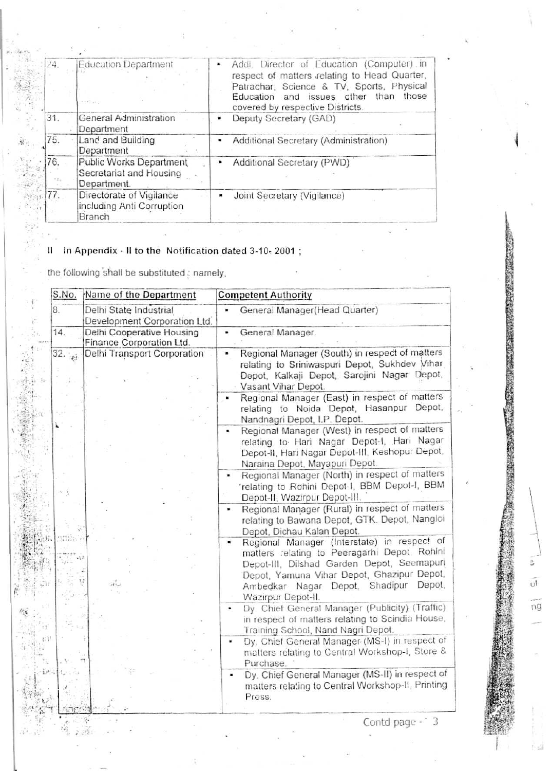| 24.         | <b>Education Department</b><br>centius y                          | Addl. Director of Education (Computer) in<br>respect of matters relating to Head Quarter,<br>Patrachar, Science & TV, Sports, Physical<br>Education and issues other<br>than<br>those<br>covered by respective Districts. |
|-------------|-------------------------------------------------------------------|---------------------------------------------------------------------------------------------------------------------------------------------------------------------------------------------------------------------------|
| 31.         | General Administration<br>Department                              | Deputy Secretary (GAD)                                                                                                                                                                                                    |
| 75.         | Land and Building<br>Department                                   | Additional Secretary (Administration)                                                                                                                                                                                     |
| 76.<br>1.51 | Public Works Department<br>Secretariat and Housing<br>Department. | Additional Secretary (PWD)                                                                                                                                                                                                |
| 77.         | Directorate of Vigilance<br>including Anti Corruption<br>Branch   | Joint Secretary (Vigilance)                                                                                                                                                                                               |

#### In Appendix - Il to the Notification dated 3-10-2001; 11

the following shall be substituted; namely,

 $\label{eq:Ric} \mathcal{R} = \frac{1}{2} \sum_{i=1}^n \mathcal{R}^{(i)}_{i} \mathcal{R}^{(i)}_{i}$ 

|     | S.No.            | Name of the Department                                 | <b>Competent Authority</b>                          |                                                                                                                                                                                                                                  |
|-----|------------------|--------------------------------------------------------|-----------------------------------------------------|----------------------------------------------------------------------------------------------------------------------------------------------------------------------------------------------------------------------------------|
| 8.  |                  | Delhi State Industrial<br>Development Corporation Ltd. | General Manager(Head Quarter)                       |                                                                                                                                                                                                                                  |
| 14. |                  | Delhi Cooperative Housing<br>Finance Corporation Ltd.  | General Manager.                                    |                                                                                                                                                                                                                                  |
| 32. | $\mathbf{p}_4$ . | Delhi Transport Corporation                            |                                                     | Regional Manager (South) in respect of matters<br>relating to Sriniwaspuri Depot, Sukhdev Vihar<br>Depot, Kalkaji Depot, Sarojini Nagar Depot,                                                                                   |
|     |                  |                                                        | Vasant Vihar Depot.<br>Nandnagri Depot, I.P. Depot. | Regional Manager (East) in respect of matters<br>relating to Noida Depot, Hasanpur Depot,                                                                                                                                        |
|     |                  |                                                        | Naraina Depot, Mayapuri Depot.                      | Regional Manager (West) in respect of matters<br>relating to Hari Nagar Depot-I, Hari Nagar<br>Depot-II, Hari Nagar Depot-III, Keshopur Depot,                                                                                   |
|     |                  |                                                        | Depot-II, Wazirpur Depot-III.                       | Regional Manager (North) in respect of matters<br>'relating to Rohini Depot-I, BBM Depot-I, BBM                                                                                                                                  |
|     |                  |                                                        | Depot, Dichau Kalan Depot.                          | Regional Manager (Rural) in respect of matters<br>relating to Bawana Depot, GTK. Depot, Nangloi                                                                                                                                  |
|     |                  |                                                        | Wazirpur Depot-II.                                  | Regional Manager (Interstate) in respect of<br>matters relating to Peeragarhi Depot, Rohlni<br>Depot-III, Dilshad Garden Depot, Seemapuri<br>Depot, Yamuna Vihar Depot, Ghazipur Depot,<br>Ambedkar Nagar Depot, Shadipur Depot, |
|     |                  |                                                        | $\blacksquare$                                      | Dy. Chief General Manager (Publicity) (Traffic)<br>in respect of matters relating to Scindia House,<br>Training School, Nand Nagri Depot.                                                                                        |
|     |                  |                                                        | Purchase.                                           | Dy. Chief General Manager (MS-I) in respect of<br>matters relating to Central Workshop-I, Store &                                                                                                                                |
|     |                  |                                                        | ۰<br>Press.                                         | Dy. Chief General Manager (MS-II) in respect of<br>matters relating to Central Workshop-II, Printing                                                                                                                             |

 $\ddot{ }$ 

 $\overline{0}$ 

ηg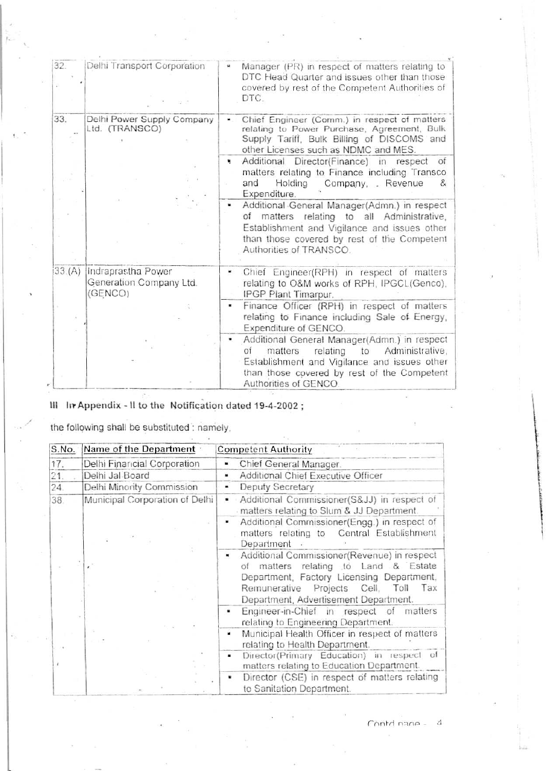| 32.   | Delhi Transport Corporation                              | Manager (PR) in respect of matters relating to<br>si.<br>DTC Head Quarter and issues other than those<br>covered by rest of the Competent Authorities of<br>DTC.                                                           |
|-------|----------------------------------------------------------|----------------------------------------------------------------------------------------------------------------------------------------------------------------------------------------------------------------------------|
| 33.   | Delhi Power Supply Company<br>Ltd. (TRANSCO)             | Chief Engineer (Comm.) in respect of matters<br>relating to Power Purchase, Agreement, Bulk<br>Supply Tariff, Bulk Billing of DISCOMS and<br>other Licenses such as NDMC and MES.                                          |
|       |                                                          | Additional Director(Finance) in<br>respect<br>of<br>×.<br>matters relating to Finance including Transco<br>Holding<br>and<br>Company, Revenue<br>8<br>Expenditure.                                                         |
|       |                                                          | Additional General Manager(Admn.) in respect<br>matters relating to all Administrative,<br>of<br>Establishment and Vigilance and issues other<br>than those covered by rest of the Competent<br>Authorities of TRANSCO.    |
| 33(A) | Indraprastha Power<br>Generation Company Ltd.<br>(GENCO) | Chief Engineer(RPH) in respect of matters<br>relating to O&M works of RPH, IPGCL(Genco),<br>IPGP Plant Timarpur.                                                                                                           |
|       |                                                          | Finance Officer (RPH) in respect of matters<br>٠<br>relating to Finance including Sale of Energy,<br>Expenditure of GENCO.                                                                                                 |
|       |                                                          | Additional General Manager(Admn.) in respect<br>matters<br>relating<br>to<br>Administrative,<br>ОŤ<br>Establishment and Vigilance and issues other<br>than those covered by rest of the Competent<br>Authorities of GENCO. |

III In Appendix - Il to the Notification dated 19-4-2002;

the following shall be substituted : namely,

| S.No. | Name of the Department         | <b>Competent Authority</b>                                                                                                                                                                                                           |
|-------|--------------------------------|--------------------------------------------------------------------------------------------------------------------------------------------------------------------------------------------------------------------------------------|
| 17.   | Delhi Financial Corporation    | Chief General Manager.<br>$\blacksquare$                                                                                                                                                                                             |
| 21.   | Delhi Jal Board                | Additional Chief Executive Officer<br>$\blacksquare$                                                                                                                                                                                 |
| 24.   | Delhi Minority Commission      | Deputy Secretary<br>$\blacksquare$                                                                                                                                                                                                   |
| 38.   | Municipal Corporation of Delhi | Additional Commissioner(S&JJ) in respect of<br>$\blacksquare$<br>matters relating to Slum & JJ Department.                                                                                                                           |
|       |                                | Additional Commissioner(Engg.) in respect of<br>matters relating to Central Establishment<br>Department                                                                                                                              |
|       |                                | Additional Commissioner(Revenue) in respect<br>$\mathbf{u}$<br>of matters relating to Land & Estate<br>Department, Factory Licensing Department,<br>Remunerative Projects Cell, Toll<br>Tax<br>Department, Advertisement Department. |
|       |                                | Engineer-in-Chief in respect of matters<br>relating to Engineering Department.                                                                                                                                                       |
|       |                                | Municipal Health Officer in respect of matters<br>п<br>relating to Health Department.                                                                                                                                                |
|       |                                | Director(Primary Education) in respect<br>- of<br>٠<br>matters relating to Education Department.                                                                                                                                     |
|       |                                | Director (CSE) in respect of matters relating<br>to Sanitation Department.                                                                                                                                                           |

Contdinane - 4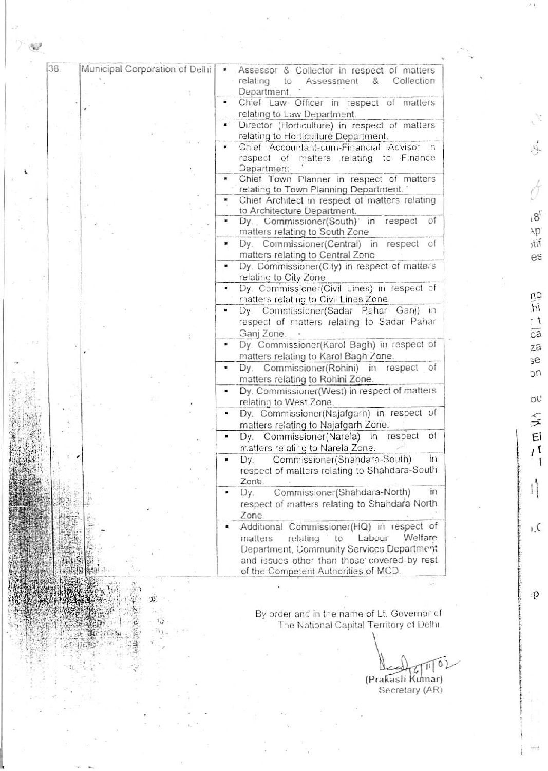| 38. | Municipal Corporation of Delhi | Assessor & Collector in respect of matters<br>relating<br>Assessment<br>to<br>Collection<br>& |
|-----|--------------------------------|-----------------------------------------------------------------------------------------------|
|     |                                | Department.                                                                                   |
|     |                                | Chief Law Officer in respect of matters                                                       |
|     |                                | relating to Law Department.                                                                   |
|     |                                | Director (Horticulture) in respect of matters                                                 |
|     |                                | relating to Horticulture Department.                                                          |
|     |                                | Chief Accountant-cum-Financial Advisor in                                                     |
|     |                                | respect of matters relating to Finance                                                        |
|     |                                | Department.                                                                                   |
|     |                                | Chief Town Planner in respect of matters<br>relating to Town Planning Department."            |
|     |                                | Chief Architect in respect of matters relating                                                |
|     |                                | to Architecture Department.                                                                   |
|     |                                | of<br>Dy. Commissioner(South) in respect                                                      |
|     |                                | matters relating to South Zone                                                                |
|     |                                | Dy. Commissioner(Central) in respect<br>of                                                    |
|     |                                | matters relating to Central Zone                                                              |
|     |                                | Dy. Commissioner(City) in respect of matters                                                  |
|     |                                | relating to City Zone.                                                                        |
|     |                                | Dy. Commissioner(Civil Lines) in respect of                                                   |
|     |                                | matters relating to Civil Lines Zone.                                                         |
|     |                                | Dy. Commissioner(Sadar Pahar Ganj) in                                                         |
|     |                                | respect of matters relating to Sadar Pahar                                                    |
|     |                                | Ganj Zone.                                                                                    |
|     |                                | Dy. Commissioner(Karol Bagh) in respect of                                                    |
|     |                                |                                                                                               |
|     |                                | matters relating to Karol Bagh Zone.                                                          |
|     |                                | Dy. Commissioner(Rohini) in respect of                                                        |
|     |                                | matters relating to Rohini Zone.                                                              |
|     |                                | Dy. Commissioner(West) in respect of matters                                                  |
|     |                                | relating to West Zone.                                                                        |
|     |                                | Dy. Commissioner(Najafgarh) in respect of                                                     |
|     |                                | matters relating to Najafgarh Zone.                                                           |
|     |                                | of<br>Commissioner(Narela) in<br>respect<br>Dy.                                               |
|     |                                | matters relating to Narela Zone.                                                              |
|     |                                | Commissioner(Shahdara-South)<br>$\mathbf{m}$<br>Dy.                                           |
|     |                                | respect of matters relating to Shahdara-South                                                 |
|     |                                | Zone.                                                                                         |
|     |                                | Commissioner(Shahdara-North)<br>Dy.<br>$\mathbf{m}$                                           |
|     |                                | respect of matters relating to Shahdara-North                                                 |
|     |                                | Zone.                                                                                         |
|     |                                | Additional Commissioner(HQ) in respect of                                                     |
|     |                                | Welfare<br>Labour<br>relating<br>matters<br>to                                                |
|     |                                | Department, Community Services Department                                                     |
|     |                                | and issues other than those covered by rest                                                   |
|     |                                | of the Competent Authorities of MCD.                                                          |
|     |                                |                                                                                               |

Ď.

综

ï

By order and in the name of Lt. Governor of<br>The National Capital Territory of Delhi

0  $\mathbb{I}$ (Prakash Kumar)<br>Secretary (AR)

ミ  $\mathsf{E}\mathsf{I}$  $\bar{I}$  (

 $\mathsf{I}$ 

 $\mathbb{I}$ 

 $\mathcal{L}$ 

**OL'** 

 $\sqrt{2}$ 

Å

 $18^{t}$ Ap' iif es

no hi  $\cdot$  t  $\overline{ca}$ za  $5e$ nc

p.